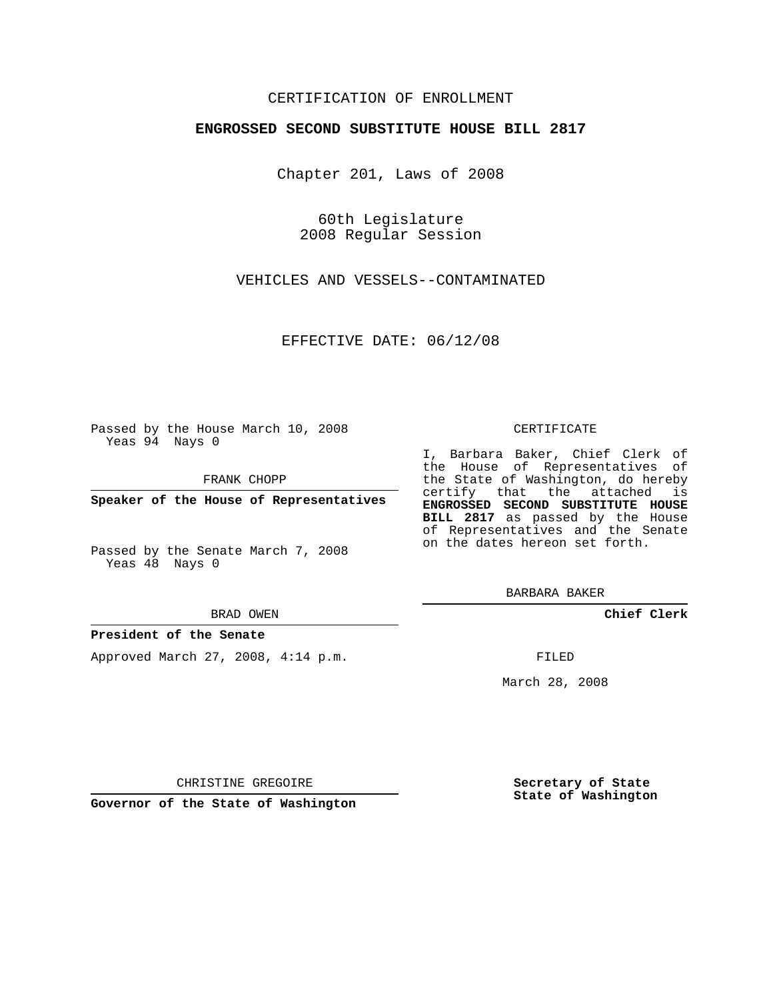# CERTIFICATION OF ENROLLMENT

## **ENGROSSED SECOND SUBSTITUTE HOUSE BILL 2817**

Chapter 201, Laws of 2008

60th Legislature 2008 Regular Session

VEHICLES AND VESSELS--CONTAMINATED

EFFECTIVE DATE: 06/12/08

Passed by the House March 10, 2008 Yeas 94 Nays 0

FRANK CHOPP

**Speaker of the House of Representatives**

Passed by the Senate March 7, 2008 Yeas 48 Nays 0

#### BRAD OWEN

## **President of the Senate**

Approved March 27, 2008, 4:14 p.m.

### CERTIFICATE

I, Barbara Baker, Chief Clerk of the House of Representatives of the State of Washington, do hereby certify that the attached is **ENGROSSED SECOND SUBSTITUTE HOUSE BILL 2817** as passed by the House of Representatives and the Senate on the dates hereon set forth.

BARBARA BAKER

**Chief Clerk**

FILED

March 28, 2008

**Secretary of State State of Washington**

CHRISTINE GREGOIRE

**Governor of the State of Washington**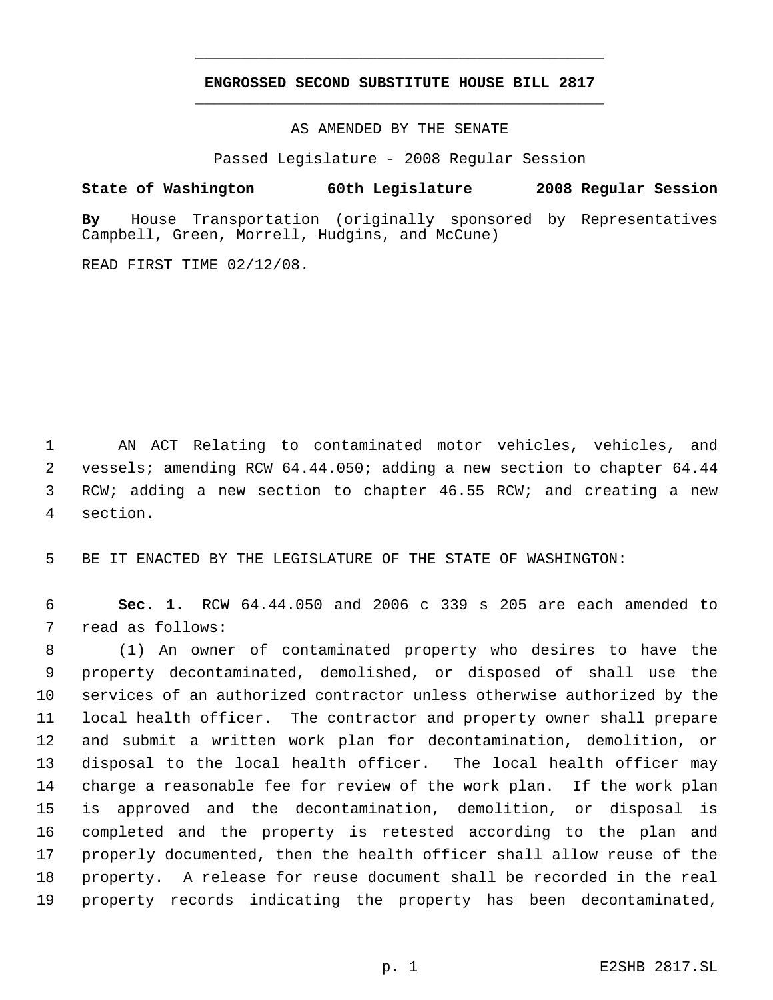# **ENGROSSED SECOND SUBSTITUTE HOUSE BILL 2817** \_\_\_\_\_\_\_\_\_\_\_\_\_\_\_\_\_\_\_\_\_\_\_\_\_\_\_\_\_\_\_\_\_\_\_\_\_\_\_\_\_\_\_\_\_

\_\_\_\_\_\_\_\_\_\_\_\_\_\_\_\_\_\_\_\_\_\_\_\_\_\_\_\_\_\_\_\_\_\_\_\_\_\_\_\_\_\_\_\_\_

AS AMENDED BY THE SENATE

Passed Legislature - 2008 Regular Session

# **State of Washington 60th Legislature 2008 Regular Session**

**By** House Transportation (originally sponsored by Representatives Campbell, Green, Morrell, Hudgins, and McCune)

READ FIRST TIME 02/12/08.

 AN ACT Relating to contaminated motor vehicles, vehicles, and vessels; amending RCW 64.44.050; adding a new section to chapter 64.44 3 RCW; adding a new section to chapter 46.55 RCW; and creating a new section.

BE IT ENACTED BY THE LEGISLATURE OF THE STATE OF WASHINGTON:

 **Sec. 1.** RCW 64.44.050 and 2006 c 339 s 205 are each amended to read as follows:

 (1) An owner of contaminated property who desires to have the property decontaminated, demolished, or disposed of shall use the services of an authorized contractor unless otherwise authorized by the local health officer. The contractor and property owner shall prepare and submit a written work plan for decontamination, demolition, or disposal to the local health officer. The local health officer may charge a reasonable fee for review of the work plan. If the work plan is approved and the decontamination, demolition, or disposal is completed and the property is retested according to the plan and properly documented, then the health officer shall allow reuse of the property. A release for reuse document shall be recorded in the real property records indicating the property has been decontaminated,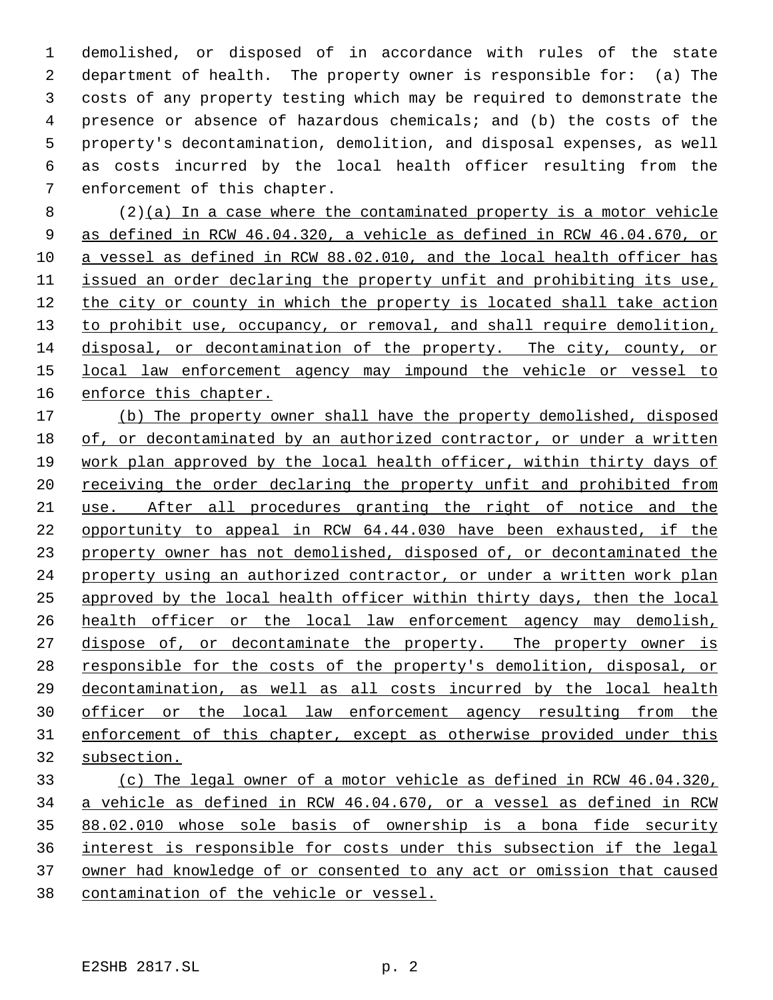demolished, or disposed of in accordance with rules of the state department of health. The property owner is responsible for: (a) The costs of any property testing which may be required to demonstrate the presence or absence of hazardous chemicals; and (b) the costs of the property's decontamination, demolition, and disposal expenses, as well as costs incurred by the local health officer resulting from the enforcement of this chapter.

 (2)(a) In a case where the contaminated property is a motor vehicle as defined in RCW 46.04.320, a vehicle as defined in RCW 46.04.670, or a vessel as defined in RCW 88.02.010, and the local health officer has issued an order declaring the property unfit and prohibiting its use, the city or county in which the property is located shall take action 13 to prohibit use, occupancy, or removal, and shall require demolition, disposal, or decontamination of the property. The city, county, or local law enforcement agency may impound the vehicle or vessel to enforce this chapter.

 (b) The property owner shall have the property demolished, disposed of, or decontaminated by an authorized contractor, or under a written work plan approved by the local health officer, within thirty days of 20 receiving the order declaring the property unfit and prohibited from use. After all procedures granting the right of notice and the opportunity to appeal in RCW 64.44.030 have been exhausted, if the property owner has not demolished, disposed of, or decontaminated the property using an authorized contractor, or under a written work plan approved by the local health officer within thirty days, then the local health officer or the local law enforcement agency may demolish, 27 dispose of, or decontaminate the property. The property owner is responsible for the costs of the property's demolition, disposal, or decontamination, as well as all costs incurred by the local health officer or the local law enforcement agency resulting from the enforcement of this chapter, except as otherwise provided under this subsection.

 (c) The legal owner of a motor vehicle as defined in RCW 46.04.320, a vehicle as defined in RCW 46.04.670, or a vessel as defined in RCW 88.02.010 whose sole basis of ownership is a bona fide security interest is responsible for costs under this subsection if the legal owner had knowledge of or consented to any act or omission that caused contamination of the vehicle or vessel.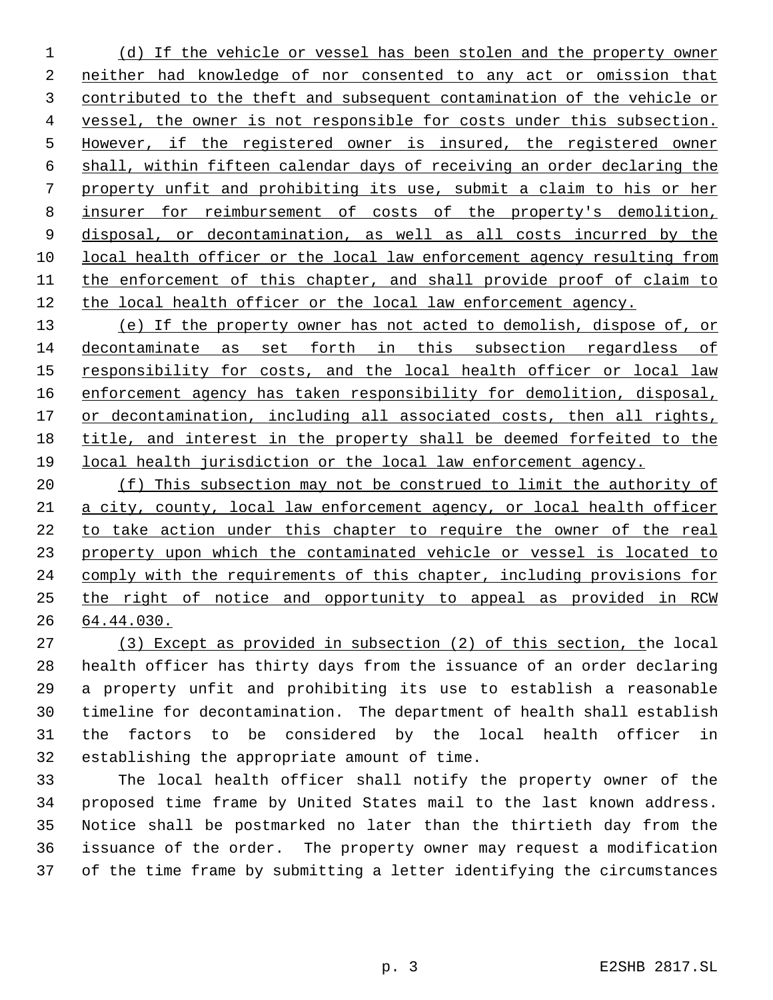(d) If the vehicle or vessel has been stolen and the property owner neither had knowledge of nor consented to any act or omission that contributed to the theft and subsequent contamination of the vehicle or vessel, the owner is not responsible for costs under this subsection. However, if the registered owner is insured, the registered owner shall, within fifteen calendar days of receiving an order declaring the property unfit and prohibiting its use, submit a claim to his or her insurer for reimbursement of costs of the property's demolition, disposal, or decontamination, as well as all costs incurred by the local health officer or the local law enforcement agency resulting from the enforcement of this chapter, and shall provide proof of claim to the local health officer or the local law enforcement agency.

 (e) If the property owner has not acted to demolish, dispose of, or decontaminate as set forth in this subsection regardless of 15 responsibility for costs, and the local health officer or local law enforcement agency has taken responsibility for demolition, disposal, 17 or decontamination, including all associated costs, then all rights, title, and interest in the property shall be deemed forfeited to the local health jurisdiction or the local law enforcement agency.

20 (f) This subsection may not be construed to limit the authority of a city, county, local law enforcement agency, or local health officer to take action under this chapter to require the owner of the real property upon which the contaminated vehicle or vessel is located to comply with the requirements of this chapter, including provisions for the right of notice and opportunity to appeal as provided in RCW 64.44.030.

 (3) Except as provided in subsection (2) of this section, the local health officer has thirty days from the issuance of an order declaring a property unfit and prohibiting its use to establish a reasonable timeline for decontamination. The department of health shall establish the factors to be considered by the local health officer in establishing the appropriate amount of time.

 The local health officer shall notify the property owner of the proposed time frame by United States mail to the last known address. Notice shall be postmarked no later than the thirtieth day from the issuance of the order. The property owner may request a modification of the time frame by submitting a letter identifying the circumstances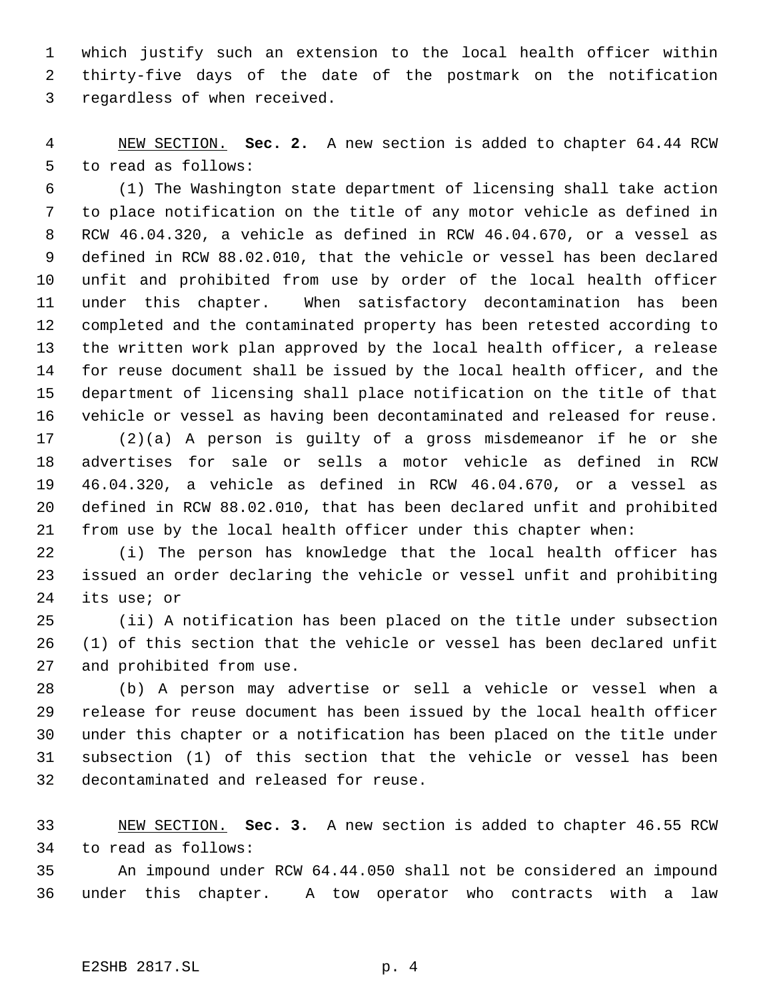which justify such an extension to the local health officer within thirty-five days of the date of the postmark on the notification regardless of when received.

 NEW SECTION. **Sec. 2.** A new section is added to chapter 64.44 RCW to read as follows:

 (1) The Washington state department of licensing shall take action to place notification on the title of any motor vehicle as defined in RCW 46.04.320, a vehicle as defined in RCW 46.04.670, or a vessel as defined in RCW 88.02.010, that the vehicle or vessel has been declared unfit and prohibited from use by order of the local health officer under this chapter. When satisfactory decontamination has been completed and the contaminated property has been retested according to the written work plan approved by the local health officer, a release for reuse document shall be issued by the local health officer, and the department of licensing shall place notification on the title of that vehicle or vessel as having been decontaminated and released for reuse.

 (2)(a) A person is guilty of a gross misdemeanor if he or she advertises for sale or sells a motor vehicle as defined in RCW 46.04.320, a vehicle as defined in RCW 46.04.670, or a vessel as defined in RCW 88.02.010, that has been declared unfit and prohibited from use by the local health officer under this chapter when:

 (i) The person has knowledge that the local health officer has issued an order declaring the vehicle or vessel unfit and prohibiting its use; or

 (ii) A notification has been placed on the title under subsection (1) of this section that the vehicle or vessel has been declared unfit and prohibited from use.

 (b) A person may advertise or sell a vehicle or vessel when a release for reuse document has been issued by the local health officer under this chapter or a notification has been placed on the title under subsection (1) of this section that the vehicle or vessel has been decontaminated and released for reuse.

 NEW SECTION. **Sec. 3.** A new section is added to chapter 46.55 RCW to read as follows:

 An impound under RCW 64.44.050 shall not be considered an impound under this chapter. A tow operator who contracts with a law